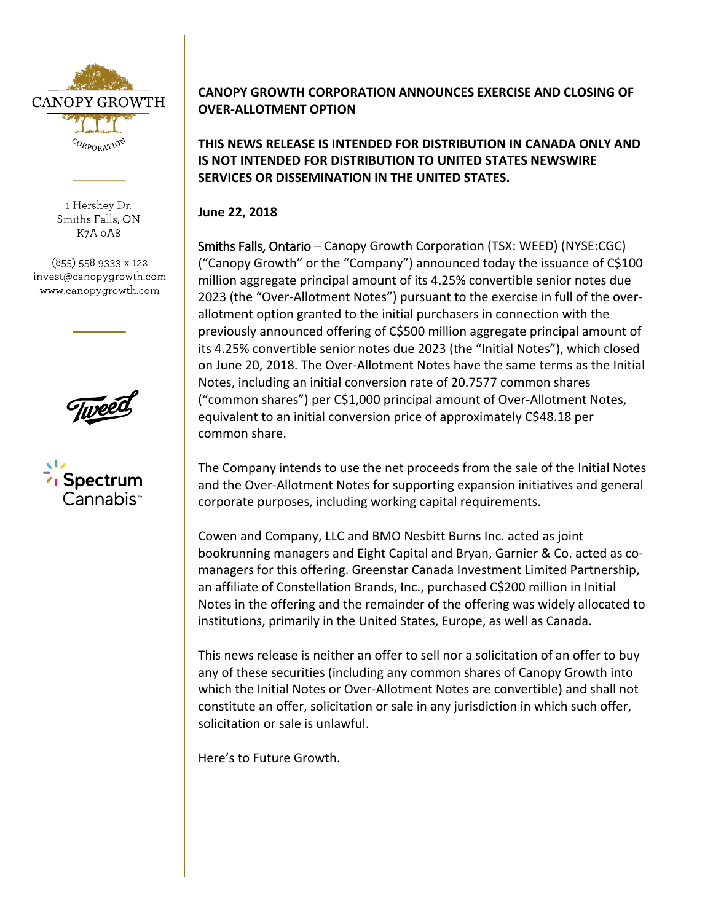

1 Hershey Dr. Smiths Falls, ON K7A 0A8

(855) 558 9333 x 122 invest@canopygrowth.com www.canopygrowth.com



## **CANOPY GROWTH CORPORATION ANNOUNCES EXERCISE AND CLOSING OF OVER-ALLOTMENT OPTION**

**THIS NEWS RELEASE IS INTENDED FOR DISTRIBUTION IN CANADA ONLY AND IS NOT INTENDED FOR DISTRIBUTION TO UNITED STATES NEWSWIRE SERVICES OR DISSEMINATION IN THE UNITED STATES.**

**June 22, 2018**

Smiths Falls, Ontario – Canopy Growth Corporation (TSX: WEED) (NYSE:CGC) ("Canopy Growth" or the "Company") announced today the issuance of C\$100 million aggregate principal amount of its 4.25% convertible senior notes due 2023 (the "Over-Allotment Notes") pursuant to the exercise in full of the overallotment option granted to the initial purchasers in connection with the previously announced offering of C\$500 million aggregate principal amount of its 4.25% convertible senior notes due 2023 (the "Initial Notes"), which closed on June 20, 2018. The Over-Allotment Notes have the same terms as the Initial Notes, including an initial conversion rate of 20.7577 common shares ("common shares") per C\$1,000 principal amount of Over-Allotment Notes, equivalent to an initial conversion price of approximately C\$48.18 per common share.

The Company intends to use the net proceeds from the sale of the Initial Notes and the Over-Allotment Notes for supporting expansion initiatives and general corporate purposes, including working capital requirements.

Cowen and Company, LLC and BMO Nesbitt Burns Inc. acted as joint bookrunning managers and Eight Capital and Bryan, Garnier & Co. acted as comanagers for this offering. Greenstar Canada Investment Limited Partnership, an affiliate of Constellation Brands, Inc., purchased C\$200 million in Initial Notes in the offering and the remainder of the offering was widely allocated to institutions, primarily in the United States, Europe, as well as Canada.

This news release is neither an offer to sell nor a solicitation of an offer to buy any of these securities (including any common shares of Canopy Growth into which the Initial Notes or Over-Allotment Notes are convertible) and shall not constitute an offer, solicitation or sale in any jurisdiction in which such offer, solicitation or sale is unlawful.

Here's to Future Growth.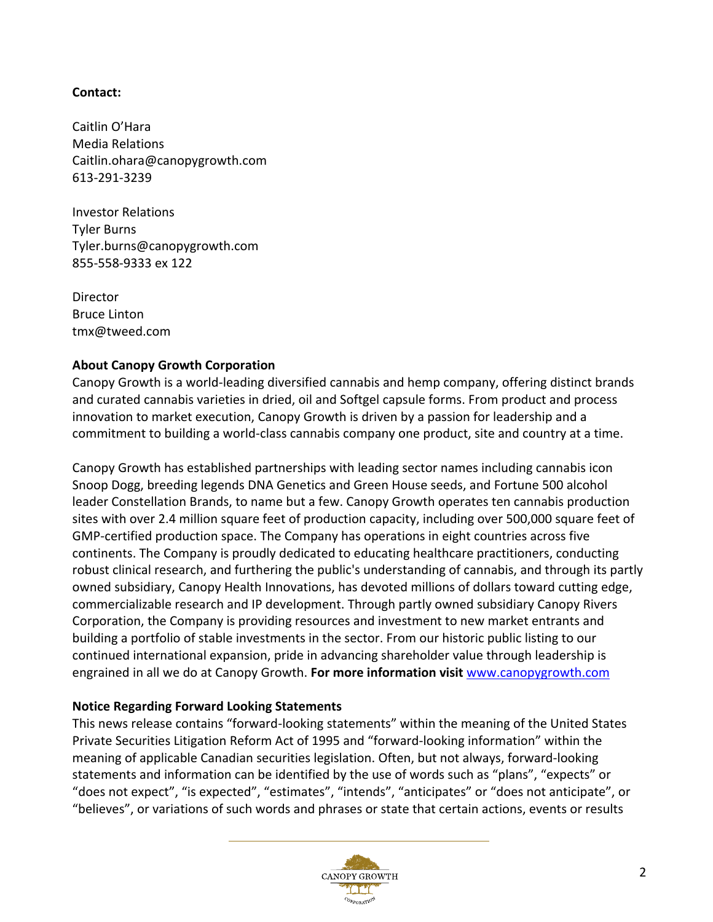## **Contact:**

Caitlin O'Hara Media Relations Caitlin.ohara@canopygrowth.com 613-291-3239

Investor Relations Tyler Burns Tyler.burns@canopygrowth.com 855-558-9333 ex 122

Director Bruce Linton tmx@tweed.com

## **About Canopy Growth Corporation**

Canopy Growth is a world-leading diversified cannabis and hemp company, offering distinct brands and curated cannabis varieties in dried, oil and Softgel capsule forms. From product and process innovation to market execution, Canopy Growth is driven by a passion for leadership and a commitment to building a world-class cannabis company one product, site and country at a time.

Canopy Growth has established partnerships with leading sector names including cannabis icon Snoop Dogg, breeding legends DNA Genetics and Green House seeds, and Fortune 500 alcohol leader Constellation Brands, to name but a few. Canopy Growth operates ten cannabis production sites with over 2.4 million square feet of production capacity, including over 500,000 square feet of GMP-certified production space. The Company has operations in eight countries across five continents. The Company is proudly dedicated to educating healthcare practitioners, conducting robust clinical research, and furthering the public's understanding of cannabis, and through its partly owned subsidiary, Canopy Health Innovations, has devoted millions of dollars toward cutting edge, commercializable research and IP development. Through partly owned subsidiary Canopy Rivers Corporation, the Company is providing resources and investment to new market entrants and building a portfolio of stable investments in the sector. From our historic public listing to our continued international expansion, pride in advancing shareholder value through leadership is engrained in all we do at Canopy Growth. **For more information visit** [www.canopygrowth.com](http://www.canopygrowth.com/)

## **Notice Regarding Forward Looking Statements**

This news release contains "forward-looking statements" within the meaning of the United States Private Securities Litigation Reform Act of 1995 and "forward-looking information" within the meaning of applicable Canadian securities legislation. Often, but not always, forward-looking statements and information can be identified by the use of words such as "plans", "expects" or "does not expect", "is expected", "estimates", "intends", "anticipates" or "does not anticipate", or "believes", or variations of such words and phrases or state that certain actions, events or results